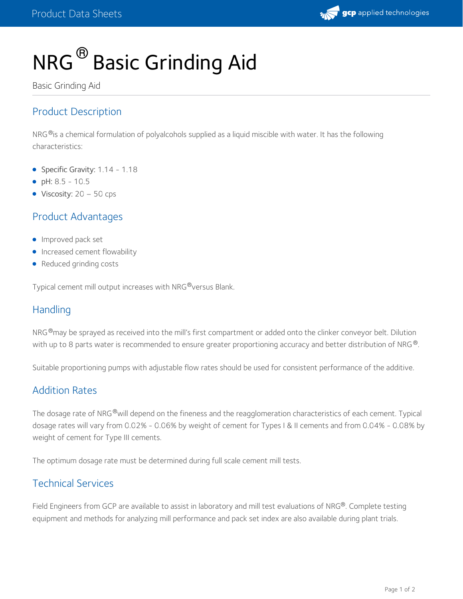

# NRG  $^\circledR$  Basic Grinding Aid

Basic Grinding Aid

## Product Description

NRG $^\circ$ is a chemical formulation of polyalcohols supplied as a liquid miscible with water. It has the following characteristics:

- Specific Gravity: 1.14 1.18
- pH: 8.5 10.5
- Viscosity:  $20 50$  cps

### Product Advantages

- **Improved pack set**
- **Increased cement flowability**
- Reduced grinding costs

Typical cement mill output increases with NRG®versus Blank.

### **Handling**

NRG®may be sprayed as received into the mill's first compartment or added onto the clinker conveyor belt. Dilution with up to 8 parts water is recommended to ensure greater proportioning accuracy and better distribution of NRG  $^{\circledR}$ .

Suitable proportioning pumps with adjustable flow rates should be used for consistent performance of the additive.

### Addition Rates

The dosage rate of NRG®will depend on the fineness and the reagglomeration characteristics of each cement. Typical dosage rates will vary from 0.02% - 0.06% by weight of cement for Types I & II cements and from 0.04% - 0.08% by weight of cement for Type III cements.

The optimum dosage rate must be determined during full scale cement mill tests.

## Technical Services

Field Engineers from GCP are available to assist in laboratory and mill test evaluations of NRG®. Complete testing equipment and methods for analyzing mill performance and pack set index are also available during plant trials.